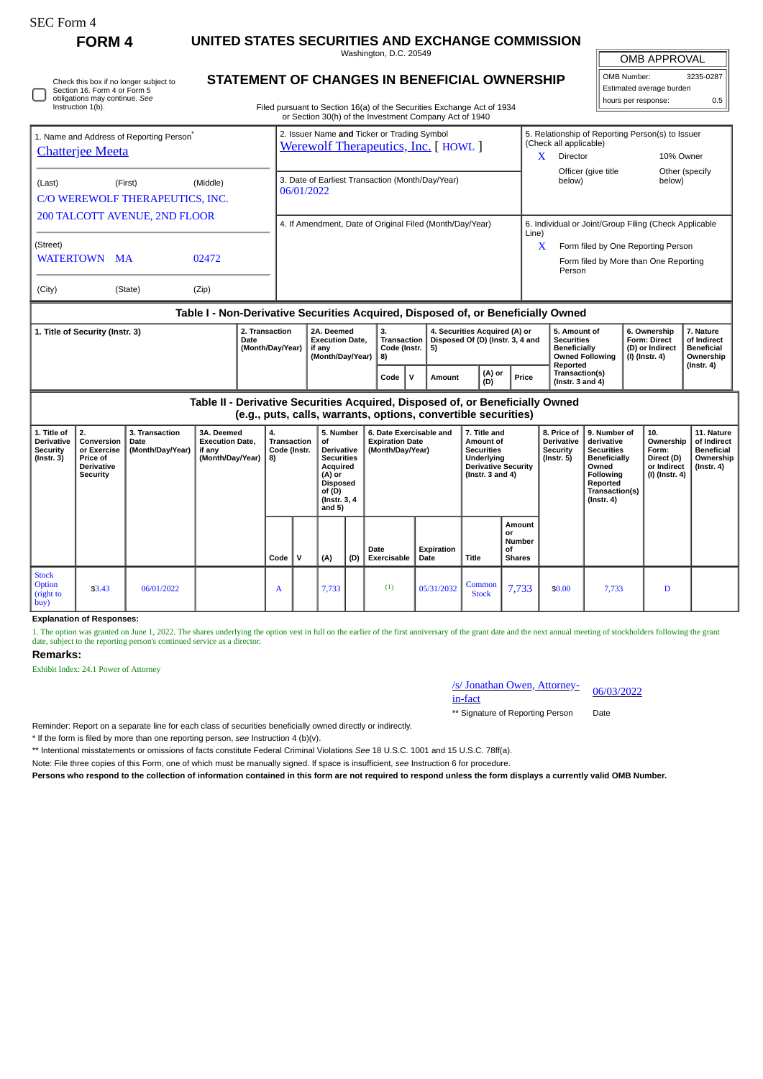| SEC Form 4                                                                                                                   | FORM <sub>4</sub>                                                                                                                                                                |                                            | UNITED STATES SECURITIES AND EXCHANGE COMMISSION                                 |          |                                                                |              |                                                                                                                                        |     |                                                                                   |                    |                                                                                                                     |                                                                                                           |                                                      |                                                                                            |                                                                                                                                                |  |                                                                            |                                                                                 |  |
|------------------------------------------------------------------------------------------------------------------------------|----------------------------------------------------------------------------------------------------------------------------------------------------------------------------------|--------------------------------------------|----------------------------------------------------------------------------------|----------|----------------------------------------------------------------|--------------|----------------------------------------------------------------------------------------------------------------------------------------|-----|-----------------------------------------------------------------------------------|--------------------|---------------------------------------------------------------------------------------------------------------------|-----------------------------------------------------------------------------------------------------------|------------------------------------------------------|--------------------------------------------------------------------------------------------|------------------------------------------------------------------------------------------------------------------------------------------------|--|----------------------------------------------------------------------------|---------------------------------------------------------------------------------|--|
|                                                                                                                              |                                                                                                                                                                                  |                                            |                                                                                  |          |                                                                |              | Washington, D.C. 20549                                                                                                                 |     |                                                                                   |                    |                                                                                                                     |                                                                                                           | <b>OMB APPROVAL</b>                                  |                                                                                            |                                                                                                                                                |  |                                                                            |                                                                                 |  |
| Check this box if no longer subject to<br>Section 16. Form 4 or Form 5<br>obligations may continue. See<br>Instruction 1(b). | STATEMENT OF CHANGES IN BENEFICIAL OWNERSHIP<br>Filed pursuant to Section 16(a) of the Securities Exchange Act of 1934<br>or Section 30(h) of the Investment Company Act of 1940 |                                            |                                                                                  |          |                                                                |              |                                                                                                                                        |     |                                                                                   |                    |                                                                                                                     | OMB Number:                                                                                               | Estimated average burden<br>hours per response:      | 3235-0287<br>0.5                                                                           |                                                                                                                                                |  |                                                                            |                                                                                 |  |
| 1. Name and Address of Reporting Person <sup>7</sup><br><b>Chatterjee Meeta</b>                                              |                                                                                                                                                                                  |                                            |                                                                                  |          |                                                                |              |                                                                                                                                        |     | 2. Issuer Name and Ticker or Trading Symbol<br>Werewolf Therapeutics, Inc. [HOWL] |                    |                                                                                                                     | 5. Relationship of Reporting Person(s) to Issuer<br>(Check all applicable)<br>Director<br>10% Owner<br>X. |                                                      |                                                                                            |                                                                                                                                                |  |                                                                            |                                                                                 |  |
| (Middle)<br>(Last)<br>(First)<br>C/O WEREWOLF THERAPEUTICS, INC.                                                             |                                                                                                                                                                                  |                                            |                                                                                  |          | 3. Date of Earliest Transaction (Month/Day/Year)<br>06/01/2022 |              |                                                                                                                                        |     |                                                                                   |                    |                                                                                                                     |                                                                                                           |                                                      | Officer (give title<br>Other (specify<br>below)<br>below)                                  |                                                                                                                                                |  |                                                                            |                                                                                 |  |
| 200 TALCOTT AVENUE, 2ND FLOOR                                                                                                |                                                                                                                                                                                  |                                            |                                                                                  |          | 4. If Amendment, Date of Original Filed (Month/Day/Year)       |              |                                                                                                                                        |     |                                                                                   |                    |                                                                                                                     |                                                                                                           |                                                      | 6. Individual or Joint/Group Filing (Check Applicable<br>Line)                             |                                                                                                                                                |  |                                                                            |                                                                                 |  |
| (Street)<br><b>WATERTOWN MA</b><br>02472                                                                                     |                                                                                                                                                                                  |                                            |                                                                                  |          |                                                                |              |                                                                                                                                        |     |                                                                                   |                    |                                                                                                                     |                                                                                                           |                                                      | Form filed by One Reporting Person<br>X<br>Form filed by More than One Reporting<br>Person |                                                                                                                                                |  |                                                                            |                                                                                 |  |
| (Zip)<br>(City)<br>(State)                                                                                                   |                                                                                                                                                                                  |                                            |                                                                                  |          |                                                                |              |                                                                                                                                        |     |                                                                                   |                    |                                                                                                                     |                                                                                                           |                                                      |                                                                                            |                                                                                                                                                |  |                                                                            |                                                                                 |  |
|                                                                                                                              |                                                                                                                                                                                  |                                            | Table I - Non-Derivative Securities Acquired, Disposed of, or Beneficially Owned |          |                                                                |              |                                                                                                                                        |     |                                                                                   |                    |                                                                                                                     |                                                                                                           |                                                      |                                                                                            |                                                                                                                                                |  |                                                                            |                                                                                 |  |
| 2. Transaction<br>1. Title of Security (Instr. 3)<br>Date<br>(Month/Day/Year)                                                |                                                                                                                                                                                  |                                            |                                                                                  |          |                                                                |              | 2A. Deemed<br><b>Execution Date,</b><br>if any<br>(Month/Day/Year)                                                                     |     | 3.<br><b>Transaction</b><br>Code (Instr.<br>8)                                    | 5)                 | 4. Securities Acquired (A) or<br>Disposed Of (D) (Instr. 3, 4 and                                                   |                                                                                                           |                                                      | 5. Amount of<br><b>Securities</b><br><b>Beneficially</b>                                   | <b>Owned Following</b>                                                                                                                         |  | 6. Ownership<br><b>Form: Direct</b><br>(D) or Indirect<br>(I) (Instr. 4)   | 7. Nature<br>of Indirect<br><b>Beneficial</b><br>Ownership<br>$($ Instr. 4 $)$  |  |
|                                                                                                                              |                                                                                                                                                                                  |                                            |                                                                                  |          |                                                                |              |                                                                                                                                        |     | $\mathbf{V}$<br>Code                                                              | Amount             |                                                                                                                     | (A) or<br>(D)                                                                                             | Price                                                | Reported<br>Transaction(s)<br>(Instr. $3$ and $4$ )                                        |                                                                                                                                                |  |                                                                            |                                                                                 |  |
|                                                                                                                              |                                                                                                                                                                                  |                                            | Table II - Derivative Securities Acquired, Disposed of, or Beneficially Owned    |          |                                                                |              |                                                                                                                                        |     | (e.g., puts, calls, warrants, options, convertible securities)                    |                    |                                                                                                                     |                                                                                                           |                                                      |                                                                                            |                                                                                                                                                |  |                                                                            |                                                                                 |  |
| 1. Title of<br>Derivative<br><b>Security</b><br>$($ Instr. $3)$                                                              | 2.<br>Conversion<br>or Exercise<br>Price of<br><b>Derivative</b><br><b>Security</b>                                                                                              | 3. Transaction<br>Date<br>(Month/Day/Year) | 3A. Deemed<br><b>Execution Date,</b><br>if any<br>(Month/Day/Year)               | 4.<br>8) | Transaction<br>Code (Instr.                                    |              | 5. Number<br>of<br><b>Derivative</b><br><b>Securities</b><br>Acquired<br>(A) or<br><b>Disposed</b><br>of (D)<br>(Instr. 3, 4<br>and 5) |     | 6. Date Exercisable and<br><b>Expiration Date</b><br>(Month/Day/Year)             |                    | 7. Title and<br>Amount of<br><b>Securities</b><br>Underlying<br><b>Derivative Security</b><br>(Instr. $3$ and $4$ ) |                                                                                                           |                                                      | 8. Price of<br><b>Derivative</b><br><b>Security</b><br>$($ Instr. $5)$                     | 9. Number of<br>derivative<br><b>Securities</b><br><b>Beneficially</b><br>Owned<br>Following<br>Reported<br>Transaction(s)<br>$($ Instr. 4 $)$ |  | 10.<br>Ownership<br>Form:<br>Direct (D)<br>or Indirect<br>$(I)$ (Instr. 4) | 11. Nature<br>of Indirect<br><b>Beneficial</b><br>Ownership<br>$($ Instr. 4 $)$ |  |
|                                                                                                                              |                                                                                                                                                                                  |                                            |                                                                                  |          | Code                                                           | $\mathsf{v}$ | (A)                                                                                                                                    | (D) | Date<br>Exercisable                                                               | Expiration<br>Date |                                                                                                                     | <b>Title</b>                                                                                              | Amount<br>or<br><b>Number</b><br>of<br><b>Shares</b> |                                                                                            |                                                                                                                                                |  |                                                                            |                                                                                 |  |
| <b>Stock</b><br>Option<br>(right to<br>buy)                                                                                  | \$3.43                                                                                                                                                                           | 06/01/2022                                 |                                                                                  |          | A                                                              |              | 7,733                                                                                                                                  |     | (1)                                                                               | 05/31/2032         |                                                                                                                     | Common<br><b>Stock</b>                                                                                    | 7,733                                                | \$0.00                                                                                     | 7,733                                                                                                                                          |  | D                                                                          |                                                                                 |  |

## **Explanation of Responses:**

1. The option was granted on June 1, 2022. The shares underlying the option vest in full on the earlier of the first anniversary of the grant date and the next annual meeting of stockholders following the grant<br>date, subje

## **Remarks:**

Exhibit Index: 24.1 Power of Attorney

/s/ Jonathan Owen, Attorney-<br>in-fact

\*\* Signature of Reporting Person Date

Reminder: Report on a separate line for each class of securities beneficially owned directly or indirectly.

\* If the form is filed by more than one reporting person, *see* Instruction 4 (b)(v).

\*\* Intentional misstatements or omissions of facts constitute Federal Criminal Violations *See* 18 U.S.C. 1001 and 15 U.S.C. 78ff(a).

Note: File three copies of this Form, one of which must be manually signed. If space is insufficient, *see* Instruction 6 for procedure.

**Persons who respond to the collection of information contained in this form are not required to respond unless the form displays a currently valid OMB Number.**